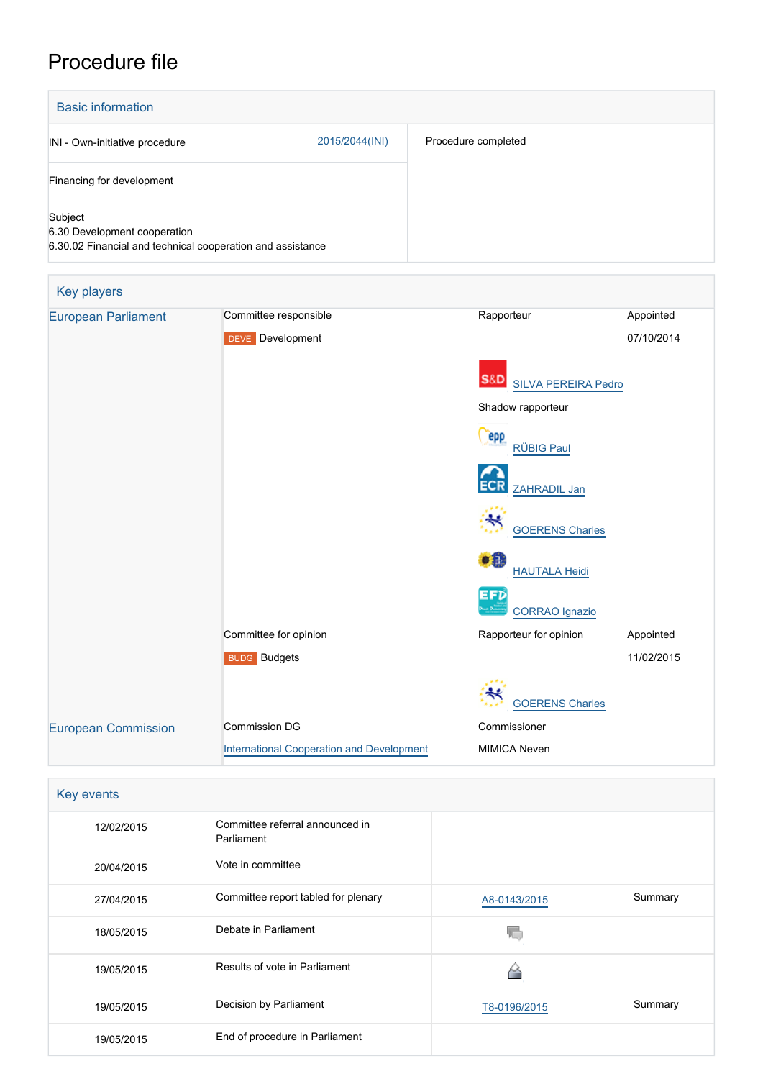## Procedure file



| Key events |                                               |              |         |  |  |  |  |
|------------|-----------------------------------------------|--------------|---------|--|--|--|--|
| 12/02/2015 | Committee referral announced in<br>Parliament |              |         |  |  |  |  |
| 20/04/2015 | Vote in committee                             |              |         |  |  |  |  |
| 27/04/2015 | Committee report tabled for plenary           | A8-0143/2015 | Summary |  |  |  |  |
| 18/05/2015 | Debate in Parliament                          |              |         |  |  |  |  |
| 19/05/2015 | Results of vote in Parliament                 |              |         |  |  |  |  |
| 19/05/2015 | Decision by Parliament                        | T8-0196/2015 | Summary |  |  |  |  |
| 19/05/2015 | End of procedure in Parliament                |              |         |  |  |  |  |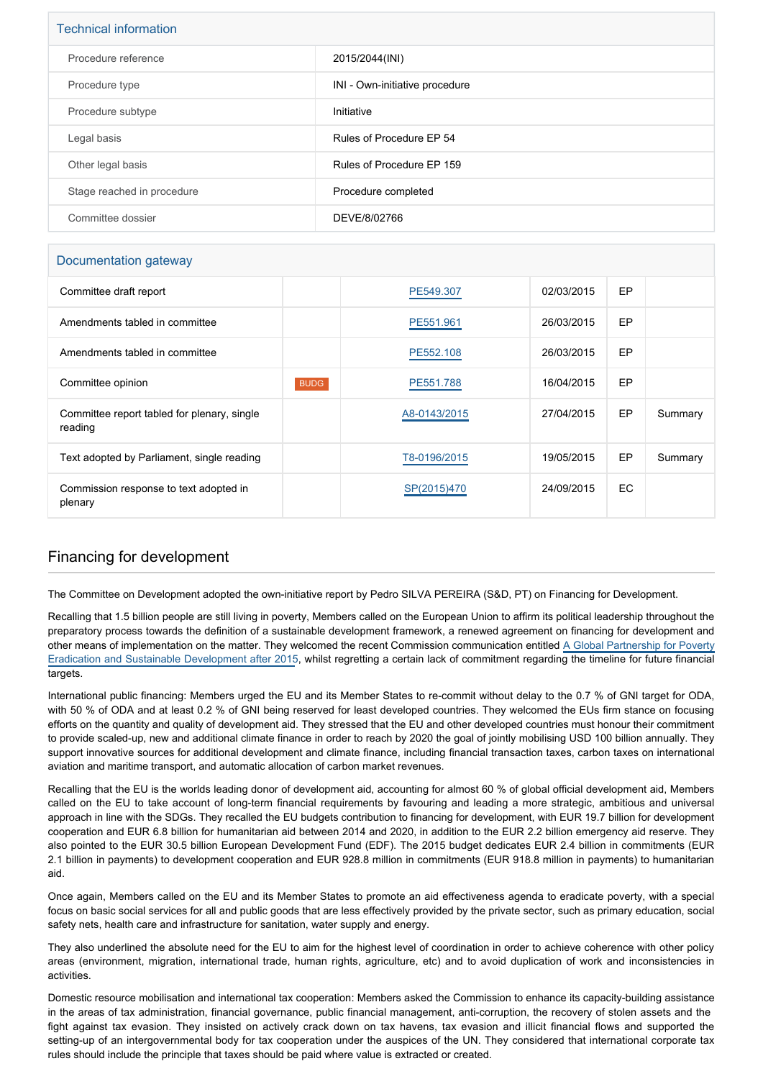| <b>Technical information</b> |                                |  |  |  |
|------------------------------|--------------------------------|--|--|--|
| Procedure reference          | 2015/2044(INI)                 |  |  |  |
| Procedure type               | INI - Own-initiative procedure |  |  |  |
| Procedure subtype            | Initiative                     |  |  |  |
| Legal basis                  | Rules of Procedure EP 54       |  |  |  |
| Other legal basis            | Rules of Procedure EP 159      |  |  |  |
| Stage reached in procedure   | Procedure completed            |  |  |  |
| Committee dossier            | DEVE/8/02766                   |  |  |  |

## Documentation gateway

| Committee draft report                                 |             | PE549.307    | 02/03/2015 | EP        |         |
|--------------------------------------------------------|-------------|--------------|------------|-----------|---------|
| Amendments tabled in committee                         |             | PE551.961    | 26/03/2015 | EP        |         |
| Amendments tabled in committee                         |             | PE552.108    | 26/03/2015 | EP        |         |
| Committee opinion                                      | <b>BUDG</b> | PE551.788    | 16/04/2015 | EP        |         |
| Committee report tabled for plenary, single<br>reading |             | A8-0143/2015 | 27/04/2015 | EP        | Summary |
| Text adopted by Parliament, single reading             |             | T8-0196/2015 | 19/05/2015 | EP        | Summary |
| Commission response to text adopted in<br>plenary      |             | SP(2015)470  | 24/09/2015 | <b>EC</b> |         |

## Financing for development

The Committee on Development adopted the own-initiative report by Pedro SILVA PEREIRA (S&D, PT) on Financing for Development.

Recalling that 1.5 billion people are still living in poverty, Members called on the European Union to affirm its political leadership throughout the preparatory process towards the definition of a sustainable development framework, a renewed agreement on financing for development and other means of implementation on the matter. They welcomed the recent Commission communication entitled [A Global Partnership for Poverty](http://ec.europa.eu/transparency/regdoc/rep/1/2015/EN/1-2015-44-EN-F1-1.PDF) [Eradication and Sustainable Development after 2015](http://ec.europa.eu/transparency/regdoc/rep/1/2015/EN/1-2015-44-EN-F1-1.PDF), whilst regretting a certain lack of commitment regarding the timeline for future financial targets.

International public financing: Members urged the EU and its Member States to re-commit without delay to the 0.7 % of GNI target for ODA, with 50 % of ODA and at least 0.2 % of GNI being reserved for least developed countries. They welcomed the EUs firm stance on focusing efforts on the quantity and quality of development aid. They stressed that the EU and other developed countries must honour their commitment to provide scaled-up, new and additional climate finance in order to reach by 2020 the goal of jointly mobilising USD 100 billion annually. They support innovative sources for additional development and climate finance, including financial transaction taxes, carbon taxes on international aviation and maritime transport, and automatic allocation of carbon market revenues.

Recalling that the EU is the worlds leading donor of development aid, accounting for almost 60 % of global official development aid, Members called on the EU to take account of long-term financial requirements by favouring and leading a more strategic, ambitious and universal approach in line with the SDGs. They recalled the EU budgets contribution to financing for development, with EUR 19.7 billion for development cooperation and EUR 6.8 billion for humanitarian aid between 2014 and 2020, in addition to the EUR 2.2 billion emergency aid reserve. They also pointed to the EUR 30.5 billion European Development Fund (EDF). The 2015 budget dedicates EUR 2.4 billion in commitments (EUR 2.1 billion in payments) to development cooperation and EUR 928.8 million in commitments (EUR 918.8 million in payments) to humanitarian aid.

Once again, Members called on the EU and its Member States to promote an aid effectiveness agenda to eradicate poverty, with a special focus on basic social services for all and public goods that are less effectively provided by the private sector, such as primary education, social safety nets, health care and infrastructure for sanitation, water supply and energy.

They also underlined the absolute need for the EU to aim for the highest level of coordination in order to achieve coherence with other policy areas (environment, migration, international trade, human rights, agriculture, etc) and to avoid duplication of work and inconsistencies in activities.

Domestic resource mobilisation and international tax cooperation: Members asked the Commission to enhance its capacity-building assistance in the areas of tax administration, financial governance, public financial management, anti-corruption, the recovery of stolen assets and the fight against tax evasion. They insisted on actively crack down on tax havens, tax evasion and illicit financial flows and supported the setting-up of an intergovernmental body for tax cooperation under the auspices of the UN. They considered that international corporate tax rules should include the principle that taxes should be paid where value is extracted or created.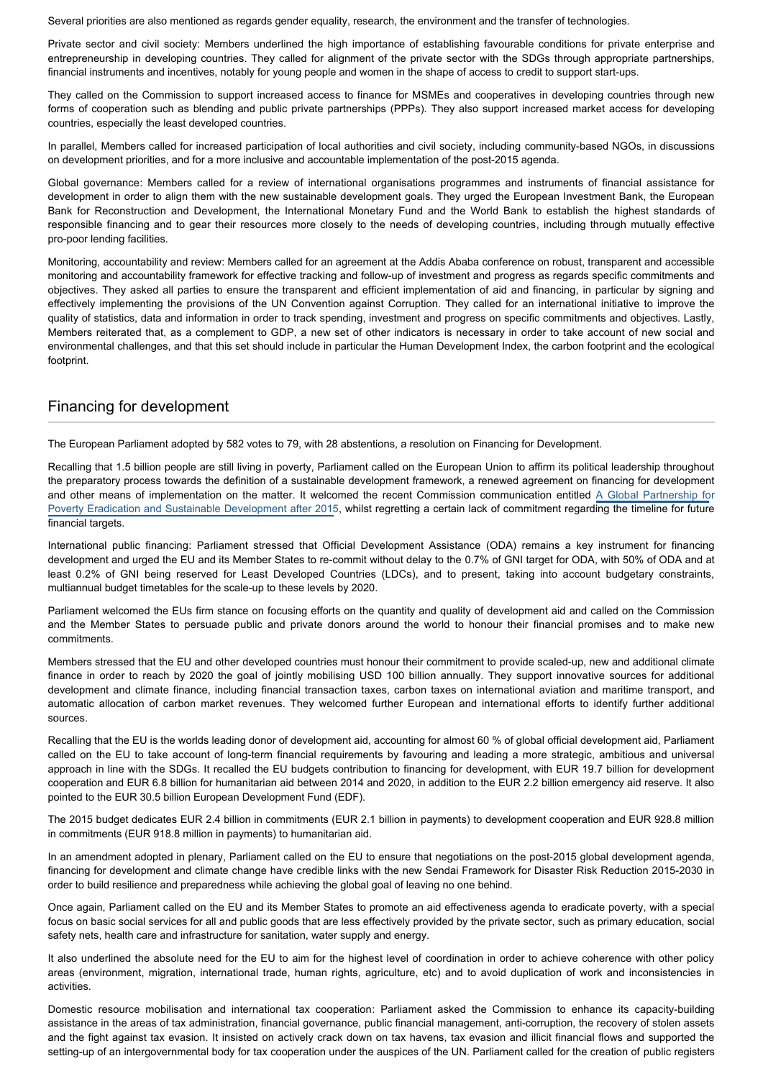Several priorities are also mentioned as regards gender equality, research, the environment and the transfer of technologies.

Private sector and civil society: Members underlined the high importance of establishing favourable conditions for private enterprise and entrepreneurship in developing countries. They called for alignment of the private sector with the SDGs through appropriate partnerships, financial instruments and incentives, notably for young people and women in the shape of access to credit to support start-ups.

They called on the Commission to support increased access to finance for MSMEs and cooperatives in developing countries through new forms of cooperation such as blending and public private partnerships (PPPs). They also support increased market access for developing countries, especially the least developed countries.

In parallel, Members called for increased participation of local authorities and civil society, including community-based NGOs, in discussions on development priorities, and for a more inclusive and accountable implementation of the post-2015 agenda.

Global governance: Members called for a review of international organisations programmes and instruments of financial assistance for development in order to align them with the new sustainable development goals. They urged the European Investment Bank, the European Bank for Reconstruction and Development, the International Monetary Fund and the World Bank to establish the highest standards of responsible financing and to gear their resources more closely to the needs of developing countries, including through mutually effective pro-poor lending facilities.

Monitoring, accountability and review: Members called for an agreement at the Addis Ababa conference on robust, transparent and accessible monitoring and accountability framework for effective tracking and follow-up of investment and progress as regards specific commitments and objectives. They asked all parties to ensure the transparent and efficient implementation of aid and financing, in particular by signing and effectively implementing the provisions of the UN Convention against Corruption. They called for an international initiative to improve the quality of statistics, data and information in order to track spending, investment and progress on specific commitments and objectives. Lastly, Members reiterated that, as a complement to GDP, a new set of other indicators is necessary in order to take account of new social and environmental challenges, and that this set should include in particular the Human Development Index, the carbon footprint and the ecological footprint.

## Financing for development

The European Parliament adopted by 582 votes to 79, with 28 abstentions, a resolution on Financing for Development.

Recalling that 1.5 billion people are still living in poverty, Parliament called on the European Union to affirm its political leadership throughout the preparatory process towards the definition of a sustainable development framework, a renewed agreement on financing for development and other means of implementation on the matter. It welcomed the recent Commission communication entitled [A Global Partnership fo](http://ec.europa.eu/transparency/regdoc/rep/1/2015/EN/1-2015-44-EN-F1-1.PDF)r [Poverty Eradication and Sustainable Development after 2015](http://ec.europa.eu/transparency/regdoc/rep/1/2015/EN/1-2015-44-EN-F1-1.PDF), whilst regretting a certain lack of commitment regarding the timeline for future financial targets.

International public financing: Parliament stressed that Official Development Assistance (ODA) remains a key instrument for financing development and urged the EU and its Member States to re-commit without delay to the 0.7% of GNI target for ODA, with 50% of ODA and at least 0.2% of GNI being reserved for Least Developed Countries (LDCs), and to present, taking into account budgetary constraints, multiannual budget timetables for the scale-up to these levels by 2020.

Parliament welcomed the EUs firm stance on focusing efforts on the quantity and quality of development aid and called on the Commission and the Member States to persuade public and private donors around the world to honour their financial promises and to make new commitments.

Members stressed that the EU and other developed countries must honour their commitment to provide scaled-up, new and additional climate finance in order to reach by 2020 the goal of jointly mobilising USD 100 billion annually. They support innovative sources for additional development and climate finance, including financial transaction taxes, carbon taxes on international aviation and maritime transport, and automatic allocation of carbon market revenues. They welcomed further European and international efforts to identify further additional sources.

Recalling that the EU is the worlds leading donor of development aid, accounting for almost 60 % of global official development aid, Parliament called on the EU to take account of long-term financial requirements by favouring and leading a more strategic, ambitious and universal approach in line with the SDGs. It recalled the EU budgets contribution to financing for development, with EUR 19.7 billion for development cooperation and EUR 6.8 billion for humanitarian aid between 2014 and 2020, in addition to the EUR 2.2 billion emergency aid reserve. It also pointed to the EUR 30.5 billion European Development Fund (EDF).

The 2015 budget dedicates EUR 2.4 billion in commitments (EUR 2.1 billion in payments) to development cooperation and EUR 928.8 million in commitments (EUR 918.8 million in payments) to humanitarian aid.

In an amendment adopted in plenary, Parliament called on the EU to ensure that negotiations on the post-2015 global development agenda, financing for development and climate change have credible links with the new Sendai Framework for Disaster Risk Reduction 2015-2030 in order to build resilience and preparedness while achieving the global goal of leaving no one behind.

Once again, Parliament called on the EU and its Member States to promote an aid effectiveness agenda to eradicate poverty, with a special focus on basic social services for all and public goods that are less effectively provided by the private sector, such as primary education, social safety nets, health care and infrastructure for sanitation, water supply and energy.

It also underlined the absolute need for the EU to aim for the highest level of coordination in order to achieve coherence with other policy areas (environment, migration, international trade, human rights, agriculture, etc) and to avoid duplication of work and inconsistencies in activities.

Domestic resource mobilisation and international tax cooperation: Parliament asked the Commission to enhance its capacity-building assistance in the areas of tax administration, financial governance, public financial management, anti-corruption, the recovery of stolen assets and the fight against tax evasion. It insisted on actively crack down on tax havens, tax evasion and illicit financial flows and supported the setting-up of an intergovernmental body for tax cooperation under the auspices of the UN. Parliament called for the creation of public registers